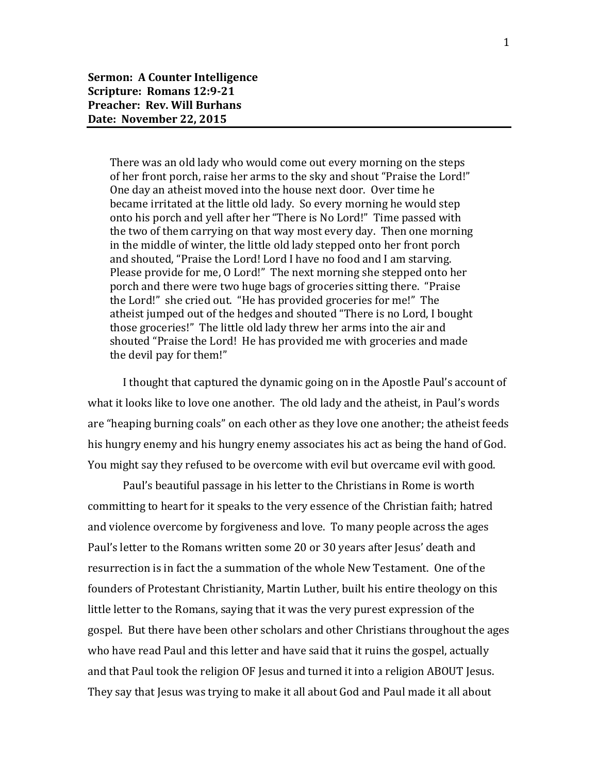There was an old lady who would come out every morning on the steps of her front porch, raise her arms to the sky and shout "Praise the Lord!" One day an atheist moved into the house next door. Over time he became irritated at the little old lady. So every morning he would step onto his porch and yell after her "There is No Lord!" Time passed with the two of them carrying on that way most every day. Then one morning in the middle of winter, the little old lady stepped onto her front porch and shouted, "Praise the Lord! Lord I have no food and I am starving. Please provide for me, O Lord!" The next morning she stepped onto her porch and there were two huge bags of groceries sitting there. "Praise the Lord!" she cried out. "He has provided groceries for me!" The atheist jumped out of the hedges and shouted "There is no Lord, I bought those groceries!" The little old lady threw her arms into the air and shouted "Praise the Lord! He has provided me with groceries and made the devil pay for them!"

I thought that captured the dynamic going on in the Apostle Paul's account of what it looks like to love one another. The old lady and the atheist, in Paul's words are "heaping burning coals" on each other as they love one another; the atheist feeds his hungry enemy and his hungry enemy associates his act as being the hand of God. You might say they refused to be overcome with evil but overcame evil with good.

Paul's beautiful passage in his letter to the Christians in Rome is worth committing to heart for it speaks to the very essence of the Christian faith; hatred and violence overcome by forgiveness and love. To many people across the ages Paul's letter to the Romans written some 20 or 30 years after Jesus' death and resurrection is in fact the a summation of the whole New Testament. One of the founders of Protestant Christianity, Martin Luther, built his entire theology on this little letter to the Romans, saying that it was the very purest expression of the gospel. But there have been other scholars and other Christians throughout the ages who have read Paul and this letter and have said that it ruins the gospel, actually and that Paul took the religion OF Jesus and turned it into a religion ABOUT Jesus. They say that Jesus was trying to make it all about God and Paul made it all about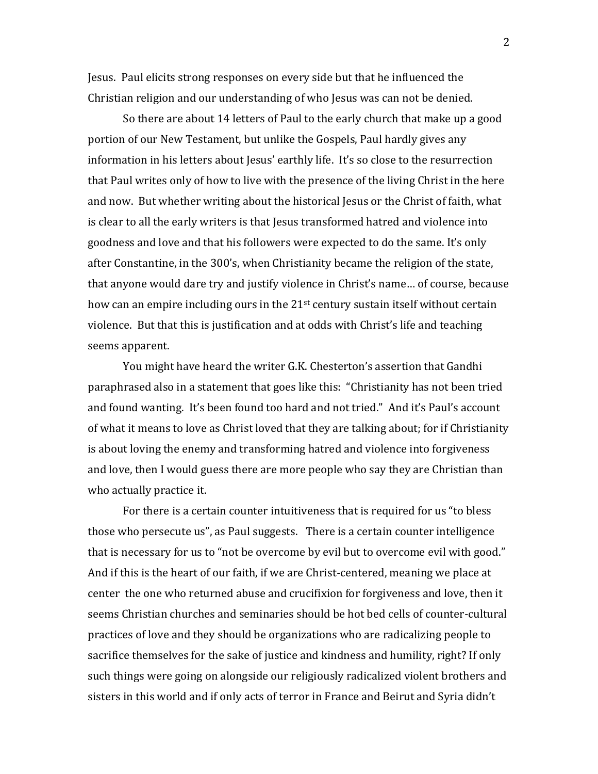Jesus. Paul elicits strong responses on every side but that he influenced the Christian religion and our understanding of who Jesus was can not be denied.

So there are about 14 letters of Paul to the early church that make up a good portion of our New Testament, but unlike the Gospels, Paul hardly gives any information in his letters about Jesus' earthly life. It's so close to the resurrection that Paul writes only of how to live with the presence of the living Christ in the here and now. But whether writing about the historical Jesus or the Christ of faith, what is clear to all the early writers is that Jesus transformed hatred and violence into goodness and love and that his followers were expected to do the same. It's only after Constantine, in the 300's, when Christianity became the religion of the state, that anyone would dare try and justify violence in Christ's name… of course, because how can an empire including ours in the 21<sup>st</sup> century sustain itself without certain violence. But that this is justification and at odds with Christ's life and teaching seems apparent.

You might have heard the writer G.K. Chesterton's assertion that Gandhi paraphrased also in a statement that goes like this: "Christianity has not been tried and found wanting. It's been found too hard and not tried." And it's Paul's account of what it means to love as Christ loved that they are talking about; for if Christianity is about loving the enemy and transforming hatred and violence into forgiveness and love, then I would guess there are more people who say they are Christian than who actually practice it.

For there is a certain counter intuitiveness that is required for us "to bless those who persecute us", as Paul suggests. There is a certain counter intelligence that is necessary for us to "not be overcome by evil but to overcome evil with good." And if this is the heart of our faith, if we are Christ-centered, meaning we place at center the one who returned abuse and crucifixion for forgiveness and love, then it seems Christian churches and seminaries should be hot bed cells of counter-cultural practices of love and they should be organizations who are radicalizing people to sacrifice themselves for the sake of justice and kindness and humility, right? If only such things were going on alongside our religiously radicalized violent brothers and sisters in this world and if only acts of terror in France and Beirut and Syria didn't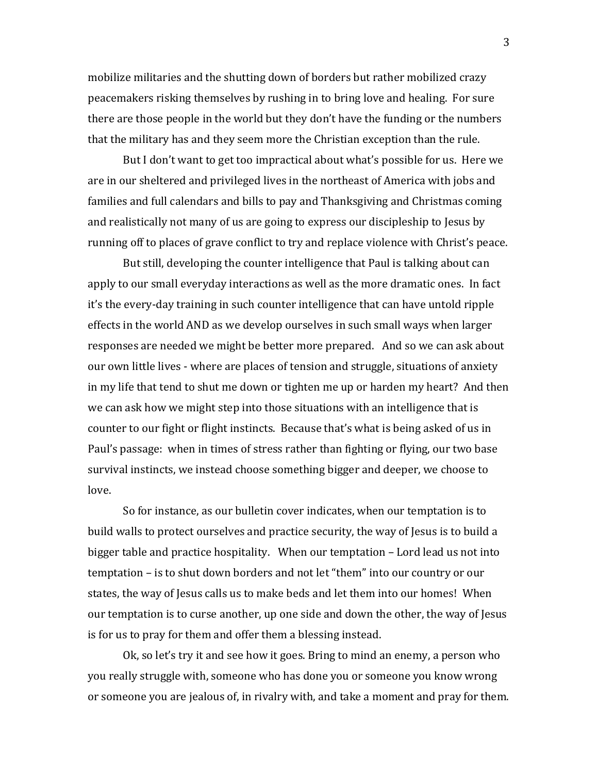mobilize militaries and the shutting down of borders but rather mobilized crazy peacemakers risking themselves by rushing in to bring love and healing. For sure there are those people in the world but they don't have the funding or the numbers that the military has and they seem more the Christian exception than the rule.

But I don't want to get too impractical about what's possible for us. Here we are in our sheltered and privileged lives in the northeast of America with jobs and families and full calendars and bills to pay and Thanksgiving and Christmas coming and realistically not many of us are going to express our discipleship to Jesus by running off to places of grave conflict to try and replace violence with Christ's peace.

But still, developing the counter intelligence that Paul is talking about can apply to our small everyday interactions as well as the more dramatic ones. In fact it's the every-day training in such counter intelligence that can have untold ripple effects in the world AND as we develop ourselves in such small ways when larger responses are needed we might be better more prepared. And so we can ask about our own little lives - where are places of tension and struggle, situations of anxiety in my life that tend to shut me down or tighten me up or harden my heart? And then we can ask how we might step into those situations with an intelligence that is counter to our fight or flight instincts. Because that's what is being asked of us in Paul's passage: when in times of stress rather than fighting or flying, our two base survival instincts, we instead choose something bigger and deeper, we choose to love.

So for instance, as our bulletin cover indicates, when our temptation is to build walls to protect ourselves and practice security, the way of Jesus is to build a bigger table and practice hospitality. When our temptation – Lord lead us not into temptation – is to shut down borders and not let "them" into our country or our states, the way of Jesus calls us to make beds and let them into our homes! When our temptation is to curse another, up one side and down the other, the way of Jesus is for us to pray for them and offer them a blessing instead.

Ok, so let's try it and see how it goes. Bring to mind an enemy, a person who you really struggle with, someone who has done you or someone you know wrong or someone you are jealous of, in rivalry with, and take a moment and pray for them.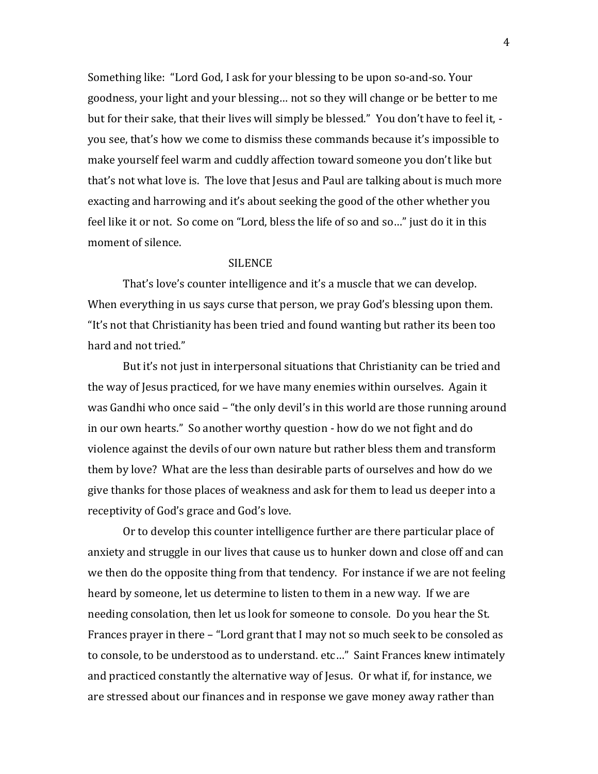Something like: "Lord God, I ask for your blessing to be upon so-and-so. Your goodness, your light and your blessing… not so they will change or be better to me but for their sake, that their lives will simply be blessed." You don't have to feel it, you see, that's how we come to dismiss these commands because it's impossible to make yourself feel warm and cuddly affection toward someone you don't like but that's not what love is. The love that Jesus and Paul are talking about is much more exacting and harrowing and it's about seeking the good of the other whether you feel like it or not. So come on "Lord, bless the life of so and so…" just do it in this moment of silence.

## SILENCE

That's love's counter intelligence and it's a muscle that we can develop. When everything in us says curse that person, we pray God's blessing upon them. "It's not that Christianity has been tried and found wanting but rather its been too hard and not tried."

But it's not just in interpersonal situations that Christianity can be tried and the way of Jesus practiced, for we have many enemies within ourselves. Again it was Gandhi who once said – "the only devil's in this world are those running around in our own hearts." So another worthy question - how do we not fight and do violence against the devils of our own nature but rather bless them and transform them by love? What are the less than desirable parts of ourselves and how do we give thanks for those places of weakness and ask for them to lead us deeper into a receptivity of God's grace and God's love.

Or to develop this counter intelligence further are there particular place of anxiety and struggle in our lives that cause us to hunker down and close off and can we then do the opposite thing from that tendency. For instance if we are not feeling heard by someone, let us determine to listen to them in a new way. If we are needing consolation, then let us look for someone to console. Do you hear the St. Frances prayer in there – "Lord grant that I may not so much seek to be consoled as to console, to be understood as to understand. etc…" Saint Frances knew intimately and practiced constantly the alternative way of Jesus. Or what if, for instance, we are stressed about our finances and in response we gave money away rather than

4